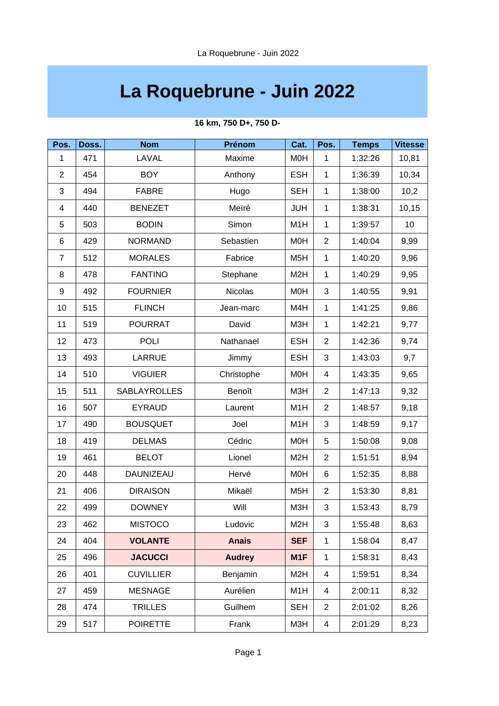## **La Roquebrune - Juin 2022**

| Pos.             | Doss. | <b>Nom</b>       | Prénom         | Cat.             | Pos.           | <b>Temps</b> | <b>Vitesse</b> |
|------------------|-------|------------------|----------------|------------------|----------------|--------------|----------------|
| $\mathbf{1}$     | 471   | LAVAL            | Maxime         | <b>MOH</b>       | $\mathbf{1}$   | 1:32:26      | 10,81          |
| $\overline{2}$   | 454   | <b>BOY</b>       | Anthony        | <b>ESH</b>       | $\mathbf{1}$   | 1:36:39      | 10,34          |
| 3                | 494   | <b>FABRE</b>     | Hugo           | <b>SEH</b>       | $\mathbf{1}$   | 1:38:00      | 10,2           |
| 4                | 440   | <b>BENEZET</b>   | Meïré          | <b>JUH</b>       | $\mathbf{1}$   | 1:38:31      | 10,15          |
| 5                | 503   | <b>BODIN</b>     | Simon          | M1H              | $\mathbf{1}$   | 1:39:57      | 10             |
| $\,6$            | 429   | <b>NORMAND</b>   | Sebastien      | M0H              | $\overline{c}$ | 1:40:04      | 9,99           |
| $\overline{7}$   | 512   | <b>MORALES</b>   | Fabrice        | M <sub>5</sub> H | $\mathbf{1}$   | 1:40:20      | 9,96           |
| 8                | 478   | <b>FANTINO</b>   | Stephane       | M <sub>2</sub> H | $\mathbf{1}$   | 1:40:29      | 9,95           |
| $\boldsymbol{9}$ | 492   | <b>FOURNIER</b>  | <b>Nicolas</b> | M <sub>O</sub> H | 3              | 1:40:55      | 9,91           |
| 10               | 515   | <b>FLINCH</b>    | Jean-marc      | M4H              | $\mathbf{1}$   | 1:41:25      | 9,86           |
| 11               | 519   | <b>POURRAT</b>   | David          | M3H              | $\mathbf{1}$   | 1:42:21      | 9,77           |
| 12               | 473   | <b>POLI</b>      | Nathanael      | <b>ESH</b>       | $\overline{c}$ | 1:42:36      | 9,74           |
| 13               | 493   | <b>LARRUE</b>    | Jimmy          | <b>ESH</b>       | 3              | 1:43:03      | 9,7            |
| 14               | 510   | <b>VIGUIER</b>   | Christophe     | <b>MOH</b>       | 4              | 1:43:35      | 9,65           |
| 15               | 511   | SABLAYROLLES     | Benoît         | M3H              | $\overline{c}$ | 1:47:13      | 9,32           |
| 16               | 507   | <b>EYRAUD</b>    | Laurent        | M1H              | $\overline{2}$ | 1:48:57      | 9,18           |
| 17               | 490   | <b>BOUSQUET</b>  | Joel           | M1H              | 3              | 1:48:59      | 9,17           |
| 18               | 419   | <b>DELMAS</b>    | Cédric         | M <sub>O</sub> H | 5              | 1:50:08      | 9,08           |
| 19               | 461   | <b>BELOT</b>     | Lionel         | M <sub>2</sub> H | $\overline{c}$ | 1:51:51      | 8,94           |
| 20               | 448   | DAUNIZEAU        | Hervé          | M0H              | 6              | 1:52:35      | 8,88           |
| 21               | 406   | <b>DIRAISON</b>  | Mikaël         | M <sub>5</sub> H | $\overline{c}$ | 1:53:30      | 8,81           |
| 22               | 499   | <b>DOWNEY</b>    | Will           | M3H              | 3              | 1:53:43      | 8,79           |
| 23               | 462   | <b>MISTOCO</b>   | Ludovic        | M <sub>2</sub> H | 3              | 1:55:48      | 8,63           |
| 24               | 404   | <b>VOLANTE</b>   | <b>Anais</b>   | <b>SEF</b>       | $\mathbf{1}$   | 1:58:04      | 8,47           |
| 25               | 496   | <b>JACUCCI</b>   | <b>Audrey</b>  | M1F              | $\mathbf 1$    | 1:58:31      | 8,43           |
| 26               | 401   | <b>CUVILLIER</b> | Benjamin       | M <sub>2</sub> H | 4              | 1:59:51      | 8,34           |
| 27               | 459   | <b>MESNAGE</b>   | Aurélien       | M1H              | 4              | 2:00:11      | 8,32           |
| 28               | 474   | <b>TRILLES</b>   | Guilhem        | <b>SEH</b>       | $\overline{c}$ | 2:01:02      | 8,26           |
| 29               | 517   | <b>POIRETTE</b>  | Frank          | M3H              | 4              | 2:01:29      | 8,23           |

## **16 km, 750 D+, 750 D-**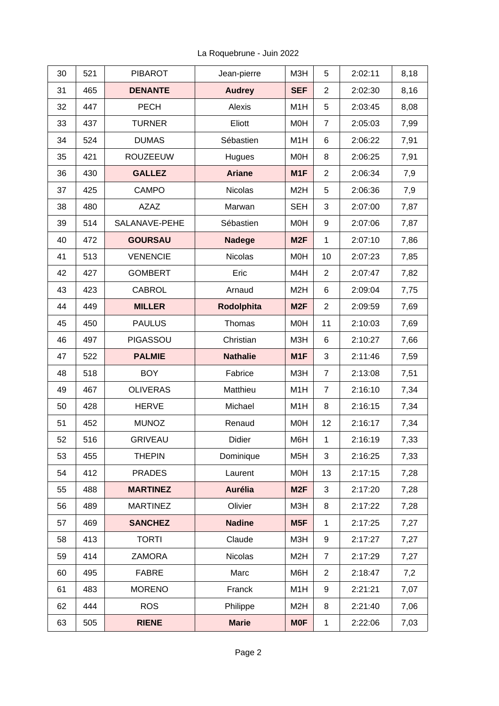| 30 | 521 | <b>PIBAROT</b>  | Jean-pierre     | M3H              | 5              | 2:02:11 | 8,18 |
|----|-----|-----------------|-----------------|------------------|----------------|---------|------|
| 31 | 465 | <b>DENANTE</b>  | <b>Audrey</b>   | <b>SEF</b>       | $\overline{c}$ | 2:02:30 | 8,16 |
| 32 | 447 | <b>PECH</b>     | Alexis          | M1H              | 5              | 2:03:45 | 8,08 |
| 33 | 437 | <b>TURNER</b>   | Eliott          | M0H              | $\overline{7}$ | 2:05:03 | 7,99 |
| 34 | 524 | <b>DUMAS</b>    | Sébastien       | M1H              | 6              | 2:06:22 | 7,91 |
| 35 | 421 | <b>ROUZEEUW</b> | Hugues          | M <sub>O</sub> H | 8              | 2:06:25 | 7,91 |
| 36 | 430 | <b>GALLEZ</b>   | <b>Ariane</b>   | M1F              | $\overline{c}$ | 2:06:34 | 7,9  |
| 37 | 425 | <b>CAMPO</b>    | <b>Nicolas</b>  | M <sub>2</sub> H | 5              | 2:06:36 | 7,9  |
| 38 | 480 | <b>AZAZ</b>     | Marwan          | <b>SEH</b>       | 3              | 2:07:00 | 7,87 |
| 39 | 514 | SALANAVE-PEHE   | Sébastien       | <b>MOH</b>       | 9              | 2:07:06 | 7,87 |
| 40 | 472 | <b>GOURSAU</b>  | <b>Nadege</b>   | M <sub>2F</sub>  | $\mathbf{1}$   | 2:07:10 | 7,86 |
| 41 | 513 | <b>VENENCIE</b> | <b>Nicolas</b>  | M0H              | 10             | 2:07:23 | 7,85 |
| 42 | 427 | <b>GOMBERT</b>  | Eric            | M4H              | $\overline{2}$ | 2:07:47 | 7,82 |
| 43 | 423 | <b>CABROL</b>   | Arnaud          | M <sub>2</sub> H | 6              | 2:09:04 | 7,75 |
| 44 | 449 | <b>MILLER</b>   | Rodolphita      | M <sub>2F</sub>  | $\overline{c}$ | 2:09:59 | 7,69 |
| 45 | 450 | <b>PAULUS</b>   | Thomas          | M0H              | 11             | 2:10:03 | 7,69 |
| 46 | 497 | PIGASSOU        | Christian       | M3H              | 6              | 2:10:27 | 7,66 |
| 47 | 522 | <b>PALMIE</b>   | <b>Nathalie</b> | M1F              | 3              | 2:11:46 | 7,59 |
| 48 | 518 | <b>BOY</b>      | Fabrice         | M3H              | $\overline{7}$ | 2:13:08 | 7,51 |
| 49 | 467 | <b>OLIVERAS</b> | Matthieu        | M1H              | $\overline{7}$ | 2:16:10 | 7,34 |
| 50 | 428 | <b>HERVE</b>    | Michael         | M1H              | 8              | 2:16:15 | 7,34 |
| 51 | 452 | <b>MUNOZ</b>    | Renaud          | M <sub>O</sub> H | 12             | 2:16:17 | 7,34 |
| 52 | 516 | <b>GRIVEAU</b>  | Didier          | M6H              | $\mathbf{1}$   | 2:16:19 | 7,33 |
| 53 | 455 | <b>THEPIN</b>   | Dominique       | M <sub>5</sub> H | 3              | 2:16:25 | 7,33 |
| 54 | 412 | <b>PRADES</b>   | Laurent         | M0H              | 13             | 2:17:15 | 7,28 |
| 55 | 488 | <b>MARTINEZ</b> | Aurélia         | M <sub>2F</sub>  | 3              | 2:17:20 | 7,28 |
| 56 | 489 | <b>MARTINEZ</b> | Olivier         | M3H              | 8              | 2:17:22 | 7,28 |
| 57 | 469 | <b>SANCHEZ</b>  | <b>Nadine</b>   | M5F              | $\mathbf{1}$   | 2:17:25 | 7,27 |
| 58 | 413 | <b>TORTI</b>    | Claude          | M3H              | 9              | 2:17:27 | 7,27 |
| 59 | 414 | <b>ZAMORA</b>   | <b>Nicolas</b>  | M <sub>2</sub> H | $\overline{7}$ | 2:17:29 | 7,27 |
| 60 | 495 | <b>FABRE</b>    | Marc            | M6H              | $\overline{c}$ | 2:18:47 | 7,2  |
| 61 | 483 | <b>MORENO</b>   | Franck          | M1H              | 9              | 2:21:21 | 7,07 |
| 62 | 444 | <b>ROS</b>      | Philippe        | M <sub>2</sub> H | 8              | 2:21:40 | 7,06 |
| 63 | 505 | <b>RIENE</b>    | <b>Marie</b>    | <b>MOF</b>       | $\mathbf 1$    | 2:22:06 | 7,03 |

La Roquebrune - Juin 2022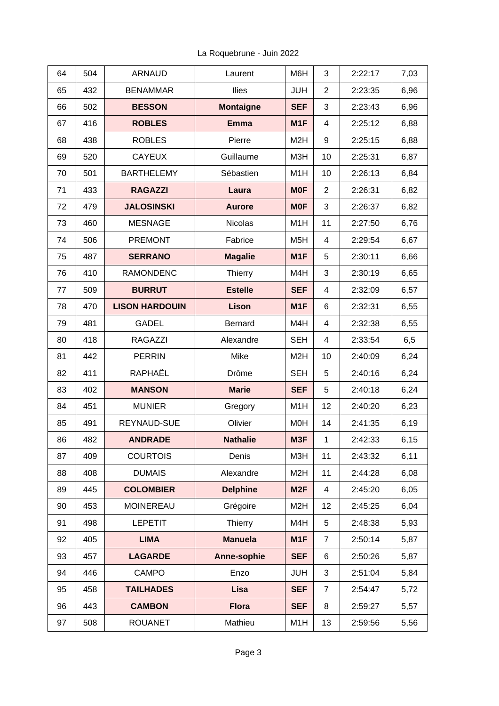| 64 | 504 | <b>ARNAUD</b>         | Laurent          | M6H              | 3              | 2:22:17 | 7,03 |
|----|-----|-----------------------|------------------|------------------|----------------|---------|------|
| 65 | 432 | <b>BENAMMAR</b>       | Ilies            | <b>JUH</b>       | $\overline{2}$ | 2:23:35 | 6,96 |
| 66 | 502 | <b>BESSON</b>         | <b>Montaigne</b> | <b>SEF</b>       | 3              | 2:23:43 | 6,96 |
| 67 | 416 | <b>ROBLES</b>         | <b>Emma</b>      | M1F              | 4              | 2:25:12 | 6,88 |
| 68 | 438 | <b>ROBLES</b>         | Pierre           | M <sub>2</sub> H | 9              | 2:25:15 | 6,88 |
| 69 | 520 | <b>CAYEUX</b>         | Guillaume        | M3H              | 10             | 2:25:31 | 6,87 |
| 70 | 501 | <b>BARTHELEMY</b>     | Sébastien        | M1H              | 10             | 2:26:13 | 6,84 |
| 71 | 433 | <b>RAGAZZI</b>        | Laura            | <b>MOF</b>       | $\overline{c}$ | 2:26:31 | 6,82 |
| 72 | 479 | <b>JALOSINSKI</b>     | <b>Aurore</b>    | <b>MOF</b>       | 3              | 2:26:37 | 6,82 |
| 73 | 460 | <b>MESNAGE</b>        | <b>Nicolas</b>   | M1H              | 11             | 2:27:50 | 6,76 |
| 74 | 506 | <b>PREMONT</b>        | Fabrice          | M <sub>5</sub> H | $\overline{4}$ | 2:29:54 | 6,67 |
| 75 | 487 | <b>SERRANO</b>        | <b>Magalie</b>   | M1F              | 5              | 2:30:11 | 6,66 |
| 76 | 410 | <b>RAMONDENC</b>      | Thierry          | M4H              | 3              | 2:30:19 | 6,65 |
| 77 | 509 | <b>BURRUT</b>         | <b>Estelle</b>   | <b>SEF</b>       | 4              | 2:32:09 | 6,57 |
| 78 | 470 | <b>LISON HARDOUIN</b> | Lison            | M1F              | 6              | 2:32:31 | 6,55 |
| 79 | 481 | <b>GADEL</b>          | <b>Bernard</b>   | M4H              | 4              | 2:32:38 | 6,55 |
| 80 | 418 | <b>RAGAZZI</b>        | Alexandre        | <b>SEH</b>       | $\overline{4}$ | 2:33:54 | 6,5  |
| 81 | 442 | <b>PERRIN</b>         | Mike             | M <sub>2</sub> H | 10             | 2:40:09 | 6,24 |
| 82 | 411 | RAPHAËL               | Drôme            | <b>SEH</b>       | 5              | 2:40:16 | 6,24 |
| 83 | 402 | <b>MANSON</b>         | <b>Marie</b>     | <b>SEF</b>       | 5              | 2:40:18 | 6,24 |
| 84 | 451 | <b>MUNIER</b>         | Gregory          | M1H              | 12             | 2:40:20 | 6,23 |
| 85 | 491 | REYNAUD-SUE           | Olivier          | <b>MOH</b>       | 14             | 2:41:35 | 6,19 |
| 86 | 482 | <b>ANDRADE</b>        | <b>Nathalie</b>  | M3F              | $\mathbf{1}$   | 2:42:33 | 6,15 |
| 87 | 409 | <b>COURTOIS</b>       | Denis            | M3H              | 11             | 2:43:32 | 6,11 |
| 88 | 408 | <b>DUMAIS</b>         | Alexandre        | M <sub>2</sub> H | 11             | 2:44:28 | 6,08 |
| 89 | 445 | <b>COLOMBIER</b>      | <b>Delphine</b>  | M <sub>2F</sub>  | 4              | 2:45:20 | 6,05 |
| 90 | 453 | <b>MOINEREAU</b>      | Grégoire         | M <sub>2</sub> H | 12             | 2:45:25 | 6,04 |
| 91 | 498 | <b>LEPETIT</b>        | Thierry          | M4H              | 5              | 2:48:38 | 5,93 |
| 92 | 405 | <b>LIMA</b>           | <b>Manuela</b>   | M1F              | $\overline{7}$ | 2:50:14 | 5,87 |
| 93 | 457 | <b>LAGARDE</b>        | Anne-sophie      | <b>SEF</b>       | 6              | 2:50:26 | 5,87 |
| 94 | 446 | <b>CAMPO</b>          | Enzo             | <b>JUH</b>       | 3              | 2:51:04 | 5,84 |
| 95 | 458 | <b>TAILHADES</b>      | <b>Lisa</b>      | <b>SEF</b>       | $\overline{7}$ | 2:54:47 | 5,72 |
| 96 | 443 | <b>CAMBON</b>         | <b>Flora</b>     | <b>SEF</b>       | 8              | 2:59:27 | 5,57 |
| 97 | 508 | <b>ROUANET</b>        | Mathieu          | M1H              | 13             | 2:59:56 | 5,56 |

La Roquebrune - Juin 2022